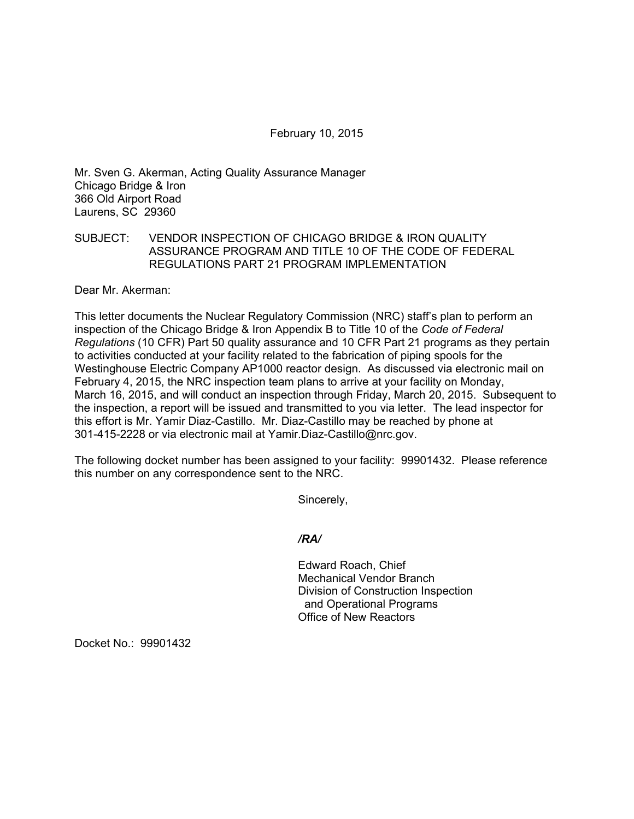February 10, 2015

Mr. Sven G. Akerman, Acting Quality Assurance Manager Chicago Bridge & Iron 366 Old Airport Road Laurens, SC 29360

## SUBJECT: VENDOR INSPECTION OF CHICAGO BRIDGE & IRON QUALITY ASSURANCE PROGRAM AND TITLE 10 OF THE CODE OF FEDERAL REGULATIONS PART 21 PROGRAM IMPLEMENTATION

Dear Mr. Akerman:

This letter documents the Nuclear Regulatory Commission (NRC) staff's plan to perform an inspection of the Chicago Bridge & Iron Appendix B to Title 10 of the *Code of Federal Regulations* (10 CFR) Part 50 quality assurance and 10 CFR Part 21 programs as they pertain to activities conducted at your facility related to the fabrication of piping spools for the Westinghouse Electric Company AP1000 reactor design. As discussed via electronic mail on February 4, 2015, the NRC inspection team plans to arrive at your facility on Monday, March 16, 2015, and will conduct an inspection through Friday, March 20, 2015. Subsequent to the inspection, a report will be issued and transmitted to you via letter. The lead inspector for this effort is Mr. Yamir Diaz-Castillo. Mr. Diaz-Castillo may be reached by phone at 301-415-2228 or via electronic mail at Yamir.Diaz-Castillo@nrc.gov.

The following docket number has been assigned to your facility: 99901432. Please reference this number on any correspondence sent to the NRC.

Sincerely,

## */RA/*

Edward Roach, Chief Mechanical Vendor Branch Division of Construction Inspection and Operational Programs Office of New Reactors

Docket No.: 99901432